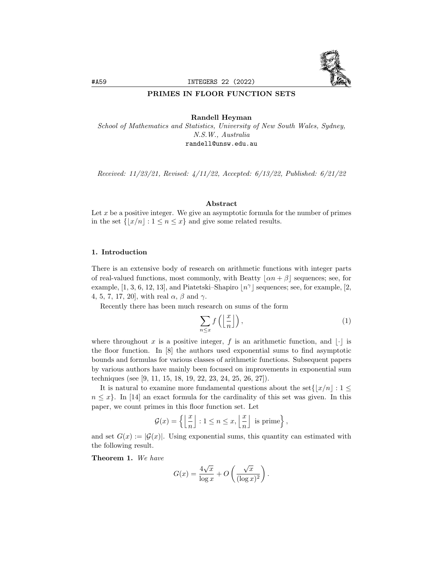

#### PRIMES IN FLOOR FUNCTION SETS

Randell Heyman

School of Mathematics and Statistics, University of New South Wales, Sydney, N.S.W., Australia randell@unsw.edu.au

Received: 11/23/21, Revised: 4/11/22, Accepted: 6/13/22, Published: 6/21/22

### Abstract

Let  $x$  be a positive integer. We give an asymptotic formula for the number of primes in the set  $\{ \lfloor x/n \rfloor : 1 \le n \le x \}$  and give some related results.

### 1. Introduction

There is an extensive body of research on arithmetic functions with integer parts of real-valued functions, most commonly, with Beatty  $|\alpha n + \beta|$  sequences; see, for example, [1, 3, 6, 12, 13], and Piatetski–Shapiro  $\lfloor n^{\gamma} \rfloor$  sequences; see, for example, [2, 4, 5, 7, 17, 20, with real  $\alpha$ ,  $\beta$  and  $\gamma$ .

Recently there has been much research on sums of the form

$$
\sum_{n \le x} f\left(\left\lfloor \frac{x}{n} \right\rfloor\right),\tag{1}
$$

where throughout x is a positive integer, f is an arithmetic function, and  $|\cdot|$  is the floor function. In [8] the authors used exponential sums to find asymptotic bounds and formulas for various classes of arithmetic functions. Subsequent papers by various authors have mainly been focused on improvements in exponential sum techniques (see [9, 11, 15, 18, 19, 22, 23, 24, 25, 26, 27]).

It is natural to examine more fundamental questions about the set  $\{|x/n| : 1 \leq \}$  $n \leq x$ . In [14] an exact formula for the cardinality of this set was given. In this paper, we count primes in this floor function set. Let

$$
\mathcal{G}(x) = \left\{ \left\lfloor \frac{x}{n} \right\rfloor : 1 \le n \le x, \left\lfloor \frac{x}{n} \right\rfloor \text{ is prime} \right\},\
$$

and set  $G(x) := |G(x)|$ . Using exponential sums, this quantity can estimated with the following result.

Theorem 1. We have

$$
G(x) = \frac{4\sqrt{x}}{\log x} + O\left(\frac{\sqrt{x}}{(\log x)^2}\right).
$$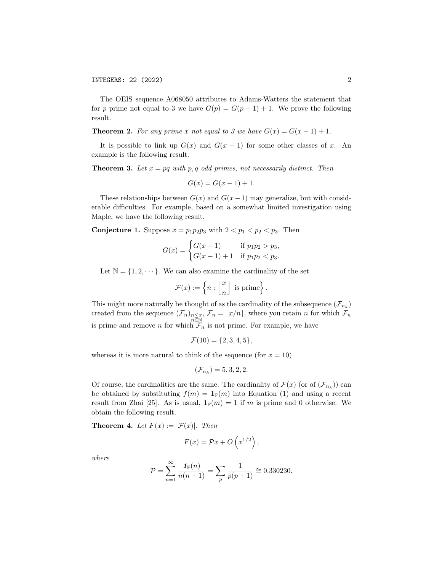The OEIS sequence A068050 attributes to Adams-Watters the statement that for p prime not equal to 3 we have  $G(p) = G(p-1) + 1$ . We prove the following result.

**Theorem 2.** For any prime x not equal to 3 we have  $G(x) = G(x - 1) + 1$ .

It is possible to link up  $G(x)$  and  $G(x - 1)$  for some other classes of x. An example is the following result.

**Theorem 3.** Let  $x = pq$  with p, q odd primes, not necessarily distinct. Then

$$
G(x) = G(x - 1) + 1.
$$

These relationships between  $G(x)$  and  $G(x-1)$  may generalize, but with considerable difficulties. For example, based on a somewhat limited investigation using Maple, we have the following result.

**Conjecture 1.** Suppose  $x = p_1p_2p_3$  with  $2 < p_1 < p_2 < p_3$ . Then

$$
G(x) = \begin{cases} G(x-1) & \text{if } p_1p_2 > p_3, \\ G(x-1)+1 & \text{if } p_1p_2 < p_3. \end{cases}
$$

Let  $\mathbb{N} = \{1, 2, \dots\}$ . We can also examine the cardinality of the set

$$
\mathcal{F}(x) := \left\{ n : \left\lfloor \frac{x}{n} \right\rfloor \text{ is prime} \right\}.
$$

This might more naturally be thought of as the cardinality of the subsequence  $(\mathcal{F}_{n_k})$ created from the sequence  $(\mathcal{F}_n)_{\substack{n \leq x, \\ n \in \mathbb{N}}}$ ,  $\mathcal{F}_n = \lfloor x/n \rfloor$ , where you retain n for which  $\mathcal{F}_n$ is prime and remove n for which  $\mathcal{F}_n$  is not prime. For example, we have

$$
\mathcal{F}(10) = \{2, 3, 4, 5\},\
$$

whereas it is more natural to think of the sequence (for  $x = 10$ )

$$
(\mathcal{F}_{n_k})=5,3,2,2.
$$

Of course, the cardinalities are the same. The cardinality of  $\mathcal{F}(x)$  (or of  $(\mathcal{F}_{n_k})$ ) can be obtained by substituting  $f(m) = \mathbf{1}_{\mathbb{P}}(m)$  into Equation (1) and using a recent result from Zhai [25]. As is usual,  $\mathbf{1}_{\mathbb{P}}(m) = 1$  if m is prime and 0 otherwise. We obtain the following result.

**Theorem 4.** Let  $F(x) := |\mathcal{F}(x)|$ . Then

$$
F(x) = \mathcal{P}x + O\left(x^{1/2}\right),\,
$$

where

$$
\mathcal{P} = \sum_{n=1}^{\infty} \frac{\mathbf{1}_{\mathbb{P}}(n)}{n(n+1)} = \sum_{p} \frac{1}{p(p+1)} \approx 0.330230.
$$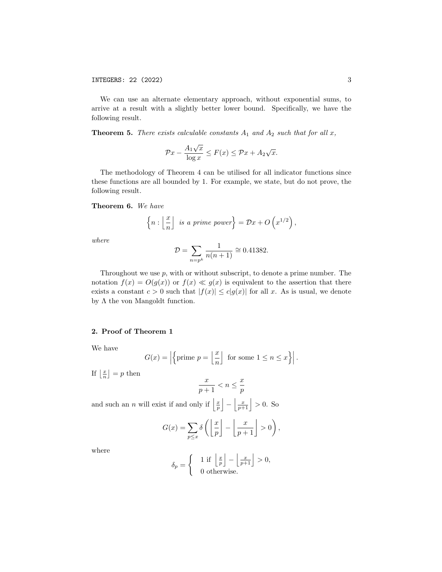We can use an alternate elementary approach, without exponential sums, to arrive at a result with a slightly better lower bound. Specifically, we have the following result.

**Theorem 5.** There exists calculable constants  $A_1$  and  $A_2$  such that for all x,

$$
\mathcal{P}x - \frac{A_1\sqrt{x}}{\log x} \le F(x) \le \mathcal{P}x + A_2\sqrt{x}.
$$

The methodology of Theorem 4 can be utilised for all indicator functions since these functions are all bounded by 1. For example, we state, but do not prove, the following result.

# Theorem 6. We have

$$
\left\{ n : \left\lfloor \frac{x}{n} \right\rfloor \text{ is a prime power} \right\} = \mathcal{D}x + O\left(x^{1/2}\right)
$$

,

where

$$
\mathcal{D} = \sum_{n=p^k} \frac{1}{n(n+1)} \cong 0.41382.
$$

Throughout we use  $p$ , with or without subscript, to denote a prime number. The notation  $f(x) = O(g(x))$  or  $f(x) \ll g(x)$  is equivalent to the assertion that there exists a constant  $c > 0$  such that  $|f(x)| \le c|g(x)|$  for all x. As is usual, we denote by  $\Lambda$  the von Mangoldt function.

#### 2. Proof of Theorem 1

We have

$$
G(x) = \left| \left\{ \text{prime } p = \left\lfloor \frac{x}{n} \right\rfloor \text{ for some } 1 \le n \le x \right\} \right|.
$$

If  $\left\lfloor \frac{x}{n} \right\rfloor = p$  then

$$
\frac{x}{p+1} < n \leq \frac{x}{p}
$$

and such an *n* will exist if and only if  $\left|\frac{x}{p}\right| - \left|\frac{x}{p+1}\right| > 0$ . So

$$
G(x) = \sum_{p \le x} \delta\left(\left\lfloor \frac{x}{p} \right\rfloor - \left\lfloor \frac{x}{p+1} \right\rfloor > 0\right),\,
$$

where

$$
\delta_p = \begin{cases} 1 \text{ if } \left\lfloor \frac{x}{p} \right\rfloor - \left\lfloor \frac{x}{p+1} \right\rfloor > 0, \\ 0 \text{ otherwise.} \end{cases}
$$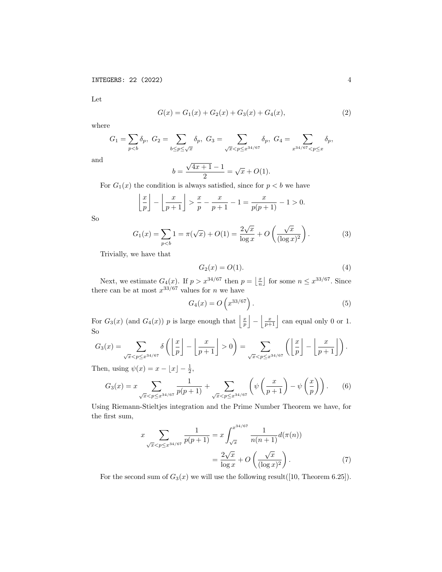Let

$$
G(x) = G_1(x) + G_2(x) + G_3(x) + G_4(x),
$$
\n(2)

where

$$
G_1 = \sum_{p < b} \delta_p, \ G_2 = \sum_{b \le p \le \sqrt{x}} \delta_p, \ G_3 = \sum_{\sqrt{x} < p \le x^{34/67}} \delta_p, \ G_4 = \sum_{x^{34/67} < p \le x} \delta_p,
$$

and

$$
b = \frac{\sqrt{4x+1} - 1}{2} = \sqrt{x} + O(1).
$$

For  $G_1(x)$  the condition is always satisfied, since for  $p < b$  we have

$$
\left\lfloor \frac{x}{p} \right\rfloor - \left\lfloor \frac{x}{p+1} \right\rfloor > \frac{x}{p} - \frac{x}{p+1} - 1 = \frac{x}{p(p+1)} - 1 > 0.
$$

So

$$
G_1(x) = \sum_{p < b} 1 = \pi(\sqrt{x}) + O(1) = \frac{2\sqrt{x}}{\log x} + O\left(\frac{\sqrt{x}}{(\log x)^2}\right). \tag{3}
$$

Trivially, we have that

$$
G_2(x) = O(1). \tag{4}
$$

Next, we estimate  $G_4(x)$ . If  $p > x^{34/67}$  then  $p = \lfloor \frac{x}{n} \rfloor$  for some  $n \leq x^{33/67}$ . Since there can be at most  $x^{33/67}$  values for *n* we have

$$
G_4(x) = O\left(x^{33/67}\right). \tag{5}
$$

For  $G_3(x)$  (and  $G_4(x)$ ) p is large enough that  $\left|\frac{x}{p}\right| - \left|\frac{x}{p+1}\right|$  can equal only 0 or 1. So

$$
G_3(x) = \sum_{\sqrt{x} < p \leq x^{34/67}} \delta\left(\left\lfloor \frac{x}{p} \right\rfloor - \left\lfloor \frac{x}{p+1} \right\rfloor > 0\right) = \sum_{\sqrt{x} < p \leq x^{34/67}} \left(\left\lfloor \frac{x}{p} \right\rfloor - \left\lfloor \frac{x}{p+1} \right\rfloor\right).
$$

Then, using  $\psi(x) = x - \lfloor x \rfloor - \frac{1}{2}$ ,

$$
G_3(x) = x \sum_{\sqrt{x} < p \leq x^{34/67}} \frac{1}{p(p+1)} + \sum_{\sqrt{x} < p \leq x^{34/67}} \left( \psi \left( \frac{x}{p+1} \right) - \psi \left( \frac{x}{p} \right) \right). \tag{6}
$$

Using Riemann-Stieltjes integration and the Prime Number Theorem we have, for the first sum,

$$
x \sum_{\sqrt{x} < p \le x^{34/67}} \frac{1}{p(p+1)} = x \int_{\sqrt{x}}^{x^{34/67}} \frac{1}{n(n+1)} d(\pi(n))
$$
\n
$$
= \frac{2\sqrt{x}}{\log x} + O\left(\frac{\sqrt{x}}{(\log x)^2}\right). \tag{7}
$$

For the second sum of  $G_3(x)$  we will use the following result([10, Theorem 6.25]).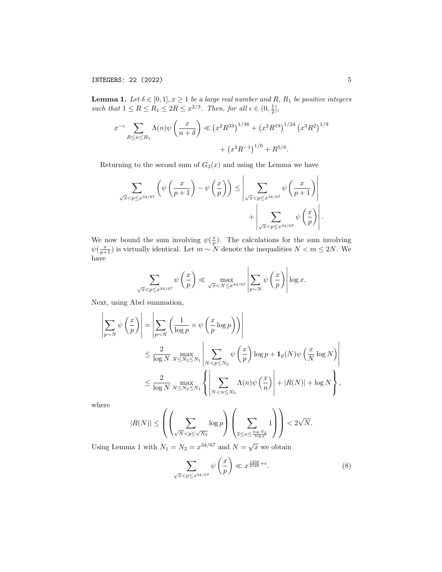INTEGERS: 22 (2022) 5

**Lemma 1.** Let  $\delta \in [0,1], x \ge 1$  be a large real number and R,  $R_1$  be positive integers such that  $1 \leq R \leq R_1 \leq 2R \leq x^{2/3}$ . Then, for all  $\epsilon \in (0, \frac{1}{2}]$ ,

$$
x^{-\epsilon} \sum_{R \le n \le R_1} \Lambda(n) \psi\left(\frac{x}{n+\delta}\right) \ll \left(x^2 R^{33}\right)^{1/38} + \left(x^2 R^{19}\right)^{1/24} \left(x^3 R^2\right)^{1/9} + \left(x^3 R^{-1}\right)^{1/6} + R^{5/6}.
$$

Returning to the second sum of  $G_3(x)$  and using the Lemma we have

$$
\sum_{\sqrt{x} < p \le x^{34/67}} \left( \psi \left( \frac{x}{p+1} \right) - \psi \left( \frac{x}{p} \right) \right) \le \left| \sum_{\sqrt{x} < p \le x^{34/67}} \psi \left( \frac{x}{p+1} \right) \right| + \left| \sum_{\sqrt{x} < p \le x^{34/67}} \psi \left( \frac{x}{p} \right) \right|
$$

We now bound the sum involving  $\psi(\frac{x}{p})$ . The calculations for the sum involving  $\psi(\frac{x}{p+1})$  is virtually identical. Let  $m \sim N$  denote the inequalities  $N < m \leq 2N$ . We have

$$
\sum_{\sqrt{x} < p \le x^{34/67}} \psi\left(\frac{x}{p}\right) \ll \max_{\sqrt{x} < N \le x^{34/67}} \left| \sum_{p \sim N} \psi\left(\frac{x}{p}\right) \right| \log x.
$$

Next, using Abel summation,

$$
\left| \sum_{p \sim N} \psi\left(\frac{x}{p}\right) \right| = \left| \sum_{p \sim N} \left( \frac{1}{\log p} \times \psi\left(\frac{x}{p} \log p\right) \right) \right|
$$
  

$$
\leq \frac{2}{\log N} \max_{N \leq N_2 \leq N_1} \left| \sum_{N < p \leq N_2} \psi\left(\frac{x}{p}\right) \log p + \mathbf{1}_p(N) \psi\left(\frac{x}{N} \log N\right) \right|
$$
  

$$
\leq \frac{2}{\log N} \max_{N \leq N_2 \leq N_1} \left\{ \left| \sum_{N < n \leq N_2} \Lambda(n) \psi\left(\frac{x}{n}\right) \right| + |R(N)| + \log N \right\},
$$

where

$$
|R(N)| \leq \left(\left(\sum_{\sqrt{N} < p \leq \sqrt{N_2}} \log p \right)\left(\sum_{2 \leq a \leq \frac{\log N_2}{\log p}} 1\right)\right) < 2\sqrt{N}.
$$

Using Lemma 1 with  $N_1 = N_2 = x^{34/67}$  and  $N = \sqrt{x}$  we obtain

$$
\sum_{\sqrt{x}< p\leq x^{34/67}} \psi\left(\frac{x}{p}\right) \ll x^{\frac{1256}{2546}+\epsilon}.\tag{8}
$$

.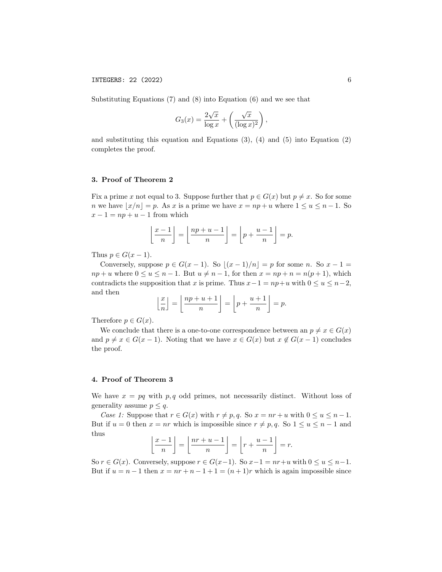INTEGERS: 22 (2022) 6

Substituting Equations (7) and (8) into Equation (6) and we see that

$$
G_3(x) = \frac{2\sqrt{x}}{\log x} + \left(\frac{\sqrt{x}}{(\log x)^2}\right),
$$

and substituting this equation and Equations  $(3)$ ,  $(4)$  and  $(5)$  into Equation  $(2)$ completes the proof.

# 3. Proof of Theorem 2

Fix a prime x not equal to 3. Suppose further that  $p \in G(x)$  but  $p \neq x$ . So for some n we have  $|x/n| = p$ . As x is a prime we have  $x = np + u$  where  $1 \le u \le n - 1$ . So  $x - 1 = np + u - 1$  from which

$$
\left\lfloor \frac{x-1}{n} \right\rfloor = \left\lfloor \frac{np+u-1}{n} \right\rfloor = \left\lfloor p + \frac{u-1}{n} \right\rfloor = p.
$$

Thus  $p \in G(x-1)$ .

Conversely, suppose  $p \in G(x-1)$ . So  $|(x-1)/n| = p$  for some n. So  $x - 1 =$  $np + u$  where  $0 \le u \le n - 1$ . But  $u \ne n - 1$ , for then  $x = np + n = n(p + 1)$ , which contradicts the supposition that x is prime. Thus  $x-1 = np+u$  with  $0 \le u \le n-2$ , and then

$$
\left\lfloor \frac{x}{n} \right\rfloor = \left\lfloor \frac{np + u + 1}{n} \right\rfloor = \left\lfloor p + \frac{u + 1}{n} \right\rfloor = p.
$$

Therefore  $p \in G(x)$ .

We conclude that there is a one-to-one correspondence between an  $p \neq x \in G(x)$ and  $p \neq x \in G(x-1)$ . Noting that we have  $x \in G(x)$  but  $x \notin G(x-1)$  concludes the proof.

### 4. Proof of Theorem 3

We have  $x = pq$  with  $p, q$  odd primes, not necessarily distinct. Without loss of generality assume  $p \leq q$ .

Case 1: Suppose that  $r \in G(x)$  with  $r \neq p, q$ . So  $x = nr + u$  with  $0 \leq u \leq n - 1$ . But if  $u = 0$  then  $x = nr$  which is impossible since  $r \neq p, q$ . So  $1 \leq u \leq n-1$  and thus

$$
\left\lfloor \frac{x-1}{n} \right\rfloor = \left\lfloor \frac{nr+u-1}{n} \right\rfloor = \left\lfloor r + \frac{u-1}{n} \right\rfloor = r.
$$

So  $r \in G(x)$ . Conversely, suppose  $r \in G(x-1)$ . So  $x-1 = nr+u$  with  $0 \le u \le n-1$ . But if  $u = n - 1$  then  $x = nr + n - 1 + 1 = (n + 1)r$  which is again impossible since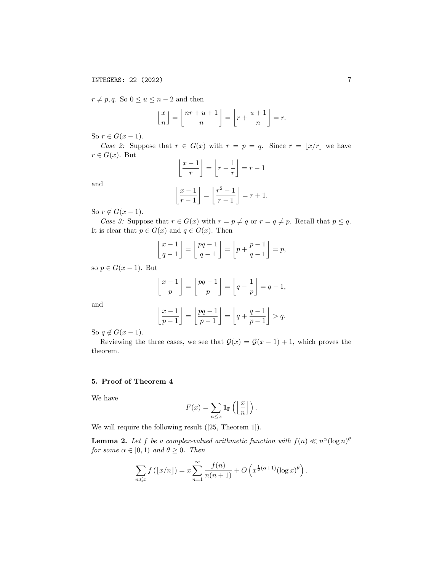$r \neq p, q$ . So  $0 \leq u \leq n-2$  and then

$$
\left\lfloor \frac{x}{n} \right\rfloor = \left\lfloor \frac{nr + u + 1}{n} \right\rfloor = \left\lfloor r + \frac{u + 1}{n} \right\rfloor = r.
$$

So  $r \in G(x-1)$ .

Case 2: Suppose that  $r \in G(x)$  with  $r = p = q$ . Since  $r = |x/r|$  we have  $r \in G(x)$ . But

$$
\left\lfloor \frac{x-1}{r} \right\rfloor = \left\lfloor r - \frac{1}{r} \right\rfloor = r - 1
$$

and

$$
\left\lfloor \frac{x-1}{r-1} \right\rfloor = \left\lfloor \frac{r^2-1}{r-1} \right\rfloor = r+1.
$$

So  $r \notin G(x-1)$ .

Case 3: Suppose that  $r \in G(x)$  with  $r = p \neq q$  or  $r = q \neq p$ . Recall that  $p \leq q$ . It is clear that  $p \in G(x)$  and  $q \in G(x)$ . Then

$$
\left\lfloor \frac{x-1}{q-1} \right\rfloor = \left\lfloor \frac{pq-1}{q-1} \right\rfloor = \left\lfloor p + \frac{p-1}{q-1} \right\rfloor = p,
$$

so  $p \in G(x-1)$ . But

$$
\left\lfloor \frac{x-1}{p} \right\rfloor = \left\lfloor \frac{pq-1}{p} \right\rfloor = \left\lfloor q - \frac{1}{p} \right\rfloor = q - 1,
$$

and

$$
\left\lfloor \frac{x-1}{p-1} \right\rfloor = \left\lfloor \frac{pq-1}{p-1} \right\rfloor = \left\lfloor q + \frac{q-1}{p-1} \right\rfloor > q.
$$

So  $q \notin G(x-1)$ .

Reviewing the three cases, we see that  $\mathcal{G}(x) = \mathcal{G}(x-1) + 1$ , which proves the theorem.

# 5. Proof of Theorem 4

We have

$$
F(x) = \sum_{n \leq x} \mathbf{1}_{\mathbb{P}} \left( \left\lfloor \frac{x}{n} \right\rfloor \right).
$$

We will require the following result ([25, Theorem 1]).

**Lemma 2.** Let f be a complex-valued arithmetic function with  $f(n) \ll n^{\alpha}(\log n)^{\theta}$ for some  $\alpha \in [0,1)$  and  $\theta \geq 0$ . Then

$$
\sum_{n\leqslant x}f\left(\lfloor x/n\rfloor\right)=x\sum_{n=1}^{\infty}\frac{f(n)}{n(n+1)}+O\left(x^{\frac{1}{2}(\alpha+1)}(\log x)^{\theta}\right).
$$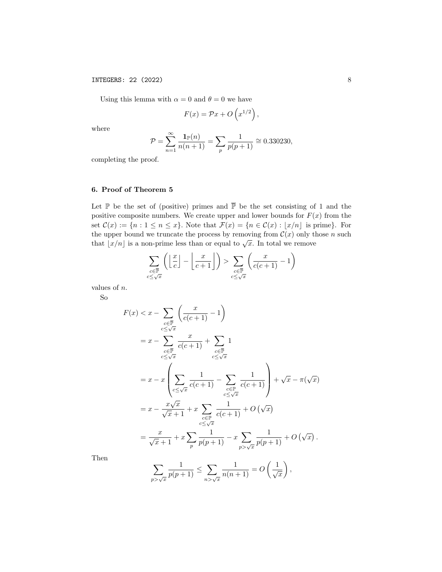Using this lemma with  $\alpha = 0$  and  $\theta = 0$  we have

$$
F(x) = \mathcal{P}x + O\left(x^{1/2}\right),\,
$$

where

$$
\mathcal{P} = \sum_{n=1}^{\infty} \frac{\mathbf{1}_{\mathbb{P}}(n)}{n(n+1)} = \sum_{p} \frac{1}{p(p+1)} \cong 0.330230,
$$

completing the proof.

# 6. Proof of Theorem 5

Let  $\mathbb P$  be the set of (positive) primes and  $\overline{\mathbb P}$  be the set consisting of 1 and the positive composite numbers. We create upper and lower bounds for  $F(x)$  from the set  $\mathcal{C}(x) := \{n : 1 \leq n \leq x\}$ . Note that  $\mathcal{F}(x) = \{n \in \mathcal{C}(x) : |x/n| \text{ is prime}\}$ . For the upper bound we truncate the process by removing from  $\mathcal{C}(x)$  only those n such that  $|x/n|$  is a non-prime less than or equal to  $\sqrt{x}$ . In total we remove

$$
\sum_{\substack{c \in \overline{\mathbb{P}} \\ c \leq \sqrt{x}}} \left( \left\lfloor \frac{x}{c} \right\rfloor - \left\lfloor \frac{x}{c+1} \right\rfloor \right) > \sum_{\substack{c \in \overline{\mathbb{P}} \\ c \leq \sqrt{x}}} \left( \frac{x}{c(c+1)} - 1 \right)
$$

values of n.

So

$$
F(x) < x - \sum_{\substack{c \in \overline{\mathbb{P}} \\ c \leq \sqrt{x}}} \left( \frac{x}{c(c+1)} - 1 \right)
$$
  
\n
$$
= x - \sum_{\substack{c \in \overline{\mathbb{P}} \\ c \leq \sqrt{x}}} \frac{x}{c(c+1)} + \sum_{\substack{c \in \overline{\mathbb{P}} \\ c \leq \sqrt{x}}} 1
$$
  
\n
$$
= x - x \left( \sum_{\substack{c \leq \sqrt{x} \\ c \leq \sqrt{x}}} \frac{1}{c(c+1)} - \sum_{\substack{c \in \mathbb{P} \\ c \leq \sqrt{x}}} \frac{1}{c(c+1)} \right) + \sqrt{x} - \pi(\sqrt{x})
$$
  
\n
$$
= x - \frac{x\sqrt{x}}{\sqrt{x} + 1} + x \sum_{\substack{c \in \mathbb{P} \\ c \leq \sqrt{x}}} \frac{1}{c(c+1)} + O(\sqrt{x})
$$
  
\n
$$
= \frac{x}{\sqrt{x} + 1} + x \sum_{p} \frac{1}{p(p+1)} - x \sum_{p > \sqrt{x}} \frac{1}{p(p+1)} + O(\sqrt{x}).
$$

Then

$$
\sum_{p>\sqrt{x}}\frac{1}{p(p+1)}\leq \sum_{n>\sqrt{x}}\frac{1}{n(n+1)}=O\left(\frac{1}{\sqrt{x}}\right),\,
$$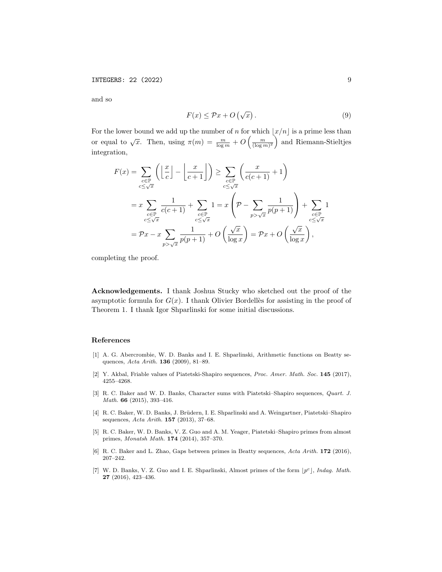and so

$$
F(x) \le \mathcal{P}x + O\left(\sqrt{x}\right). \tag{9}
$$

For the lower bound we add up the number of n for which  $\lfloor x/n \rfloor$  is a prime less than or equal to  $\sqrt{x}$ . Then, using  $\pi(m) = \frac{m}{\log m} + O\left(\frac{m}{(\log m)^2}\right)$  and Riemann-Stieltjes integration,

$$
F(x) = \sum_{\substack{c \in \mathbb{P} \\ c \le \sqrt{x}}} \left( \left\lfloor \frac{x}{c} \right\rfloor - \left\lfloor \frac{x}{c+1} \right\rfloor \right) \ge \sum_{\substack{c \in \mathbb{P} \\ c \le \sqrt{x}}} \left( \frac{x}{c(c+1)} + 1 \right)
$$
  

$$
= x \sum_{\substack{c \in \mathbb{P} \\ c \le \sqrt{x}}} \frac{1}{c(c+1)} + \sum_{\substack{c \in \mathbb{P} \\ c \le \sqrt{x}}} 1 = x \left( \mathcal{P} - \sum_{p > \sqrt{x}} \frac{1}{p(p+1)} \right) + \sum_{\substack{c \in \mathbb{P} \\ c \le \sqrt{x}}} 1
$$
  

$$
= \mathcal{P}x - x \sum_{p > \sqrt{x}} \frac{1}{p(p+1)} + O\left(\frac{\sqrt{x}}{\log x}\right) = \mathcal{P}x + O\left(\frac{\sqrt{x}}{\log x}\right),
$$

completing the proof.

Acknowledgements. I thank Joshua Stucky who sketched out the proof of the asymptotic formula for  $G(x)$ . I thank Olivier Bordellès for assisting in the proof of Theorem 1. I thank Igor Shparlinski for some initial discussions.

#### References

- [1] A. G. Abercrombie, W. D. Banks and I. E. Shparlinski, Arithmetic functions on Beatty sequences, Acta Arith. **136** (2009), 81-89.
- [2] Y. Akbal, Friable values of Piatetski-Shapiro sequences, Proc. Amer. Math. Soc. 145 (2017), 4255–4268.
- [3] R. C. Baker and W. D. Banks, Character sums with Piatetski–Shapiro sequences, Quart. J. Math. 66 (2015), 393–416.
- [4] R. C. Baker, W. D. Banks, J. Brüdern, I. E. Shparlinski and A. Weingartner, Piatetski–Shapiro sequences, Acta Arith. 157 (2013), 37–68.
- [5] R. C. Baker, W. D. Banks, V. Z. Guo and A. M. Yeager, Piatetski–Shapiro primes from almost primes, Monatsh Math. 174 (2014), 357–370.
- [6] R. C. Baker and L. Zhao, Gaps between primes in Beatty sequences, Acta Arith. 172 (2016), 207–242.
- [7] W. D. Banks, V. Z. Guo and I. E. Shparlinski, Almost primes of the form  $|p^c|$ , *Indag. Math.* 27 (2016), 423–436.